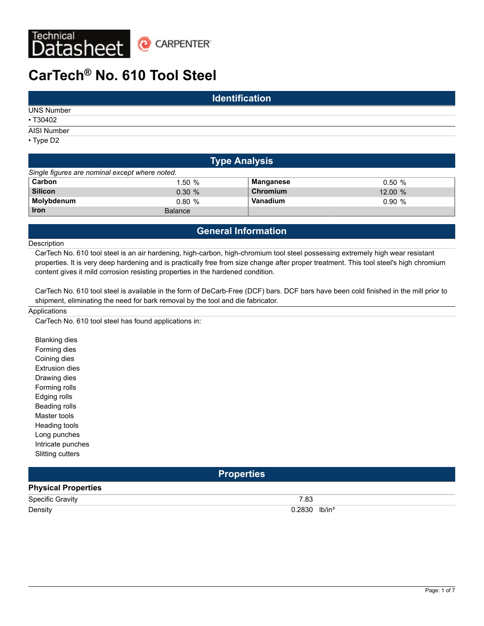

# **CarTech® No. 610 Tool Steel**

| <b>Identification</b> |  |  |  |  |  |
|-----------------------|--|--|--|--|--|
| <b>UNS Number</b>     |  |  |  |  |  |
| • T30402              |  |  |  |  |  |
| AISI Number           |  |  |  |  |  |
| $\cdot$ Type D2       |  |  |  |  |  |

| <b>Type Analysis</b>                           |                |           |        |  |  |  |  |  |
|------------------------------------------------|----------------|-----------|--------|--|--|--|--|--|
| Single figures are nominal except where noted. |                |           |        |  |  |  |  |  |
| Carbon                                         | 1.50%          | Manganese | 0.50%  |  |  |  |  |  |
| <b>Silicon</b>                                 | $0.30 \%$      | Chromium  | 12.00% |  |  |  |  |  |
| Molybdenum                                     | 0.80%          | Vanadium  | 0.90%  |  |  |  |  |  |
| <b>Iron</b>                                    | <b>Balance</b> |           |        |  |  |  |  |  |

# **General Information**

### Description

CarTech No. 610 tool steel is an air hardening, high-carbon, high-chromium tool steel possessing extremely high wear resistant properties. It is very deep hardening and is practically free from size change after proper treatment. This tool steel's high chromium content gives it mild corrosion resisting properties in the hardened condition.

CarTech No. 610 tool steel is available in the form of DeCarb-Free (DCF) bars. DCF bars have been cold finished in the mill prior to shipment, eliminating the need for bark removal by the tool and die fabricator.

### **Applications**

CarTech No. 610 tool steel has found applications in:

Blanking dies Forming dies Coining dies Extrusion dies Drawing dies Forming rolls Edging rolls Beading rolls Master tools Heading tools Long punches Intricate punches Slitting cutters

### **Properties**

# **Physical Properties**

| <b>Specific Gravity</b> | 7.00<br>ده.<br>__  |
|-------------------------|--------------------|
| Density                 | lb/in <sup>3</sup> |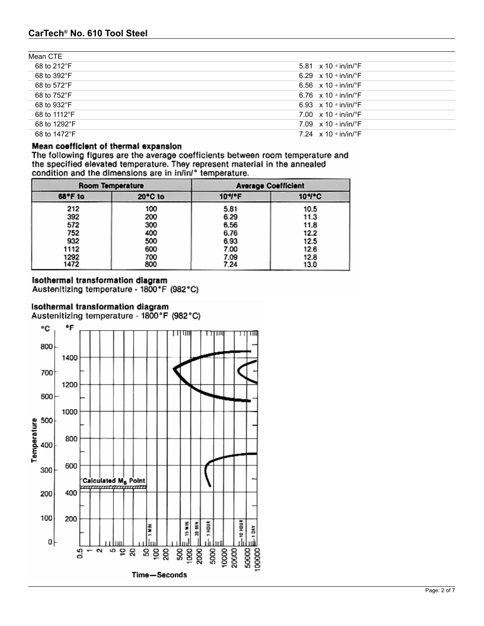| Mean CTE     |                                           |
|--------------|-------------------------------------------|
| 68 to 212°F  | 5.81 $\times$ 10 $\cdot$ in/in/ $\cdot$ F |
| 68 to 392°F  | 6.29 $\times$ 10 $\cdot$ in/in/ $\cdot$ F |
| 68 to 572°F  | 6.56 $\times$ 10 $\cdot$ in/in/ $\cdot$ F |
| 68 to 752°F  | 6.76 $\times$ 10 $\cdot$ in/in/ $\cdot$ F |
| 68 to 932°F  | 6.93 $\times$ 10 $\cdot$ in/in/ $\cdot$ F |
| 68 to 1112°F | 7.00 $\times$ 10 $\cdot$ in/in/ $\cdot$ F |
| 68 to 1292°F | 7.09 $\times$ 10 $\cdot$ in/in/ $\cdot$ F |
| 68 to 1472°F | 7.24 $\times$ 10 $\cdot$ in/in/ $\cdot$ F |

# Mean coefficient of thermal expansion

The following figures are the average coefficients between room temperature and the specified elevated temperature. They represent material in the annealed condition and the dimensions are in in/in/° temperature.

| <b>Room Temperature</b> |         | <b>Average Coefficient</b> |        |  |  |  |
|-------------------------|---------|----------------------------|--------|--|--|--|
| 68°F to                 | 20°C to | 10*/*F                     | 10*/*C |  |  |  |
| 212                     | 100     | 5.81                       | 10.5   |  |  |  |
| 392                     | 200     | 6.29                       | 11.3   |  |  |  |
| 572                     | 300     | 6.56                       | 11.8   |  |  |  |
| 752                     | 400     | 6.76                       | 12.2   |  |  |  |
| 932                     | 500     | 6.93                       | 12.5   |  |  |  |
| 1112                    | 600     | 7.00                       | 12.6   |  |  |  |
| 1292                    | 700     | 7.09                       | 12.8   |  |  |  |
| 1472                    | 800     | 7.24                       | 13.0   |  |  |  |

# Isothermal transformation diagram

Austenitizing temperature - 1800°F (982°C)

# Isothermal transformation diagram

Austenitizing temperature - 1800°F (982°C)

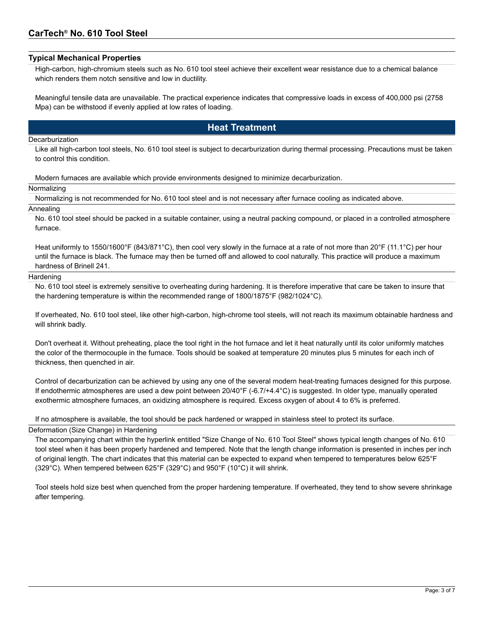### **Typical Mechanical Properties**

High-carbon, high-chromium steels such as No. 610 tool steel achieve their excellent wear resistance due to a chemical balance which renders them notch sensitive and low in ductility.

Meaningful tensile data are unavailable. The practical experience indicates that compressive loads in excess of 400,000 psi (2758 Mpa) can be withstood if evenly applied at low rates of loading.

# **Heat Treatment**

#### **Decarburization**

Like all high-carbon tool steels, No. 610 tool steel is subject to decarburization during thermal processing. Precautions must be taken to control this condition.

Modern furnaces are available which provide environments designed to minimize decarburization.

#### Normalizing

Normalizing is not recommended for No. 610 tool steel and is not necessary after furnace cooling as indicated above.

#### Annealing

No. 610 tool steel should be packed in a suitable container, using a neutral packing compound, or placed in a controlled atmosphere furnace.

Heat uniformly to 1550/1600°F (843/871°C), then cool very slowly in the furnace at a rate of not more than 20°F (11.1°C) per hour until the furnace is black. The furnace may then be turned off and allowed to cool naturally. This practice will produce a maximum hardness of Brinell 241.

#### **Hardening**

No. 610 tool steel is extremely sensitive to overheating during hardening. It is therefore imperative that care be taken to insure that the hardening temperature is within the recommended range of 1800/1875°F (982/1024°C).

If overheated, No. 610 tool steel, like other high-carbon, high-chrome tool steels, will not reach its maximum obtainable hardness and will shrink badly.

Don't overheat it. Without preheating, place the tool right in the hot furnace and let it heat naturally until its color uniformly matches the color of the thermocouple in the furnace. Tools should be soaked at temperature 20 minutes plus 5 minutes for each inch of thickness, then quenched in air.

Control of decarburization can be achieved by using any one of the several modern heat-treating furnaces designed for this purpose. If endothermic atmospheres are used a dew point between 20/40°F (-6.7/+4.4°C) is suggested. In older type, manually operated exothermic atmosphere furnaces, an oxidizing atmosphere is required. Excess oxygen of about 4 to 6% is preferred.

If no atmosphere is available, the tool should be pack hardened or wrapped in stainless steel to protect its surface.

### Deformation (Size Change) in Hardening

The accompanying chart within the hyperlink entitled "Size Change of No. 610 Tool Steel" shows typical length changes of No. 610 tool steel when it has been properly hardened and tempered. Note that the length change information is presented in inches per inch of original length. The chart indicates that this material can be expected to expand when tempered to temperatures below 625°F (329°C). When tempered between 625°F (329°C) and 950°F (10°C) it will shrink.

Tool steels hold size best when quenched from the proper hardening temperature. If overheated, they tend to show severe shrinkage after tempering.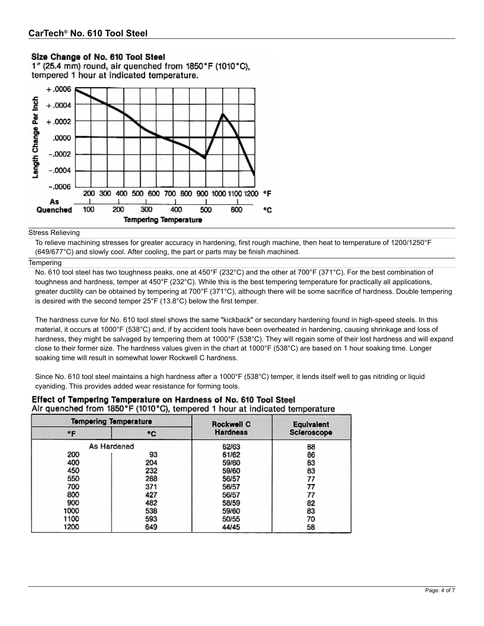# Size Change of No. 610 Tool Steel

1" (25.4 mm) round, air quenched from 1850°F (1010°C). tempered 1 hour at indicated temperature.



#### Stress Relieving

To relieve machining stresses for greater accuracy in hardening, first rough machine, then heat to temperature of 1200/1250°F (649/677°C) and slowly cool. After cooling, the part or parts may be finish machined.

### **Tempering**

No. 610 tool steel has two toughness peaks, one at 450°F (232°C) and the other at 700°F (371°C). For the best combination of toughness and hardness, temper at 450°F (232°C). While this is the best tempering temperature for practically all applications, greater ductility can be obtained by tempering at 700°F (371°C), although there will be some sacrifice of hardness. Double tempering is desired with the second temper 25°F (13.8°C) below the first temper.

The hardness curve for No. 610 tool steel shows the same "kickback" or secondary hardening found in high-speed steels. In this material, it occurs at 1000°F (538°C) and, if by accident tools have been overheated in hardening, causing shrinkage and loss of hardness, they might be salvaged by tempering them at 1000°F (538°C). They will regain some of their lost hardness and will expand close to their former size. The hardness values given in the chart at 1000°F (538°C) are based on 1 hour soaking time. Longer soaking time will result in somewhat lower Rockwell C hardness.

Since No. 610 tool steel maintains a high hardness after a 1000°F (538°C) temper, it lends itself well to gas nitriding or liquid cyaniding. This provides added wear resistance for forming tools.

| <b>Tempering Temperature</b> |     | <b>Rockwell C</b> | Equivalent  |  |  |
|------------------------------|-----|-------------------|-------------|--|--|
| ۰F                           | ۰c  | <b>Hardness</b>   | Scieroscope |  |  |
| As Hardened                  |     | 62/63             | 88          |  |  |
| 200                          | 93  | 61/62             | 86          |  |  |
| 400                          | 204 | 59/60             | 83          |  |  |
| 450                          | 232 | 59/60             | 83          |  |  |
| 550                          | 288 | 56/57             | 77          |  |  |
| 700                          | 371 | 56/57             | 77          |  |  |
| 800                          | 427 | 56/57             | 77          |  |  |
| 900                          | 482 | 58/59             | 82          |  |  |
| 1000                         | 538 | 59/60             | 83          |  |  |
| 1100                         | 593 | 50/55             | 70          |  |  |
| 1200                         | 649 | 44/45             | 58          |  |  |

### Effect of Tempering Temperature on Hardness of No. 610 Tool Steel Air quenched from 1850°F (1010°C), tempered 1 hour at indicated temperature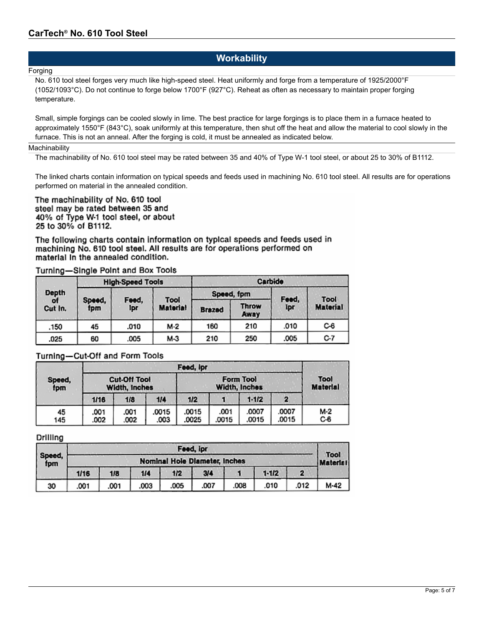# **Workability**

### **Forging**

No. 610 tool steel forges very much like high-speed steel. Heat uniformly and forge from a temperature of 1925/2000°F (1052/1093°C). Do not continue to forge below 1700°F (927°C). Reheat as often as necessary to maintain proper forging temperature.

Small, simple forgings can be cooled slowly in lime. The best practice for large forgings is to place them in a furnace heated to approximately 1550°F (843°C), soak uniformly at this temperature, then shut off the heat and allow the material to cool slowly in the furnace. This is not an anneal. After the forging is cold, it must be annealed as indicated below.

### **Machinability**

The machinability of No. 610 tool steel may be rated between 35 and 40% of Type W-1 tool steel, or about 25 to 30% of B1112.

The linked charts contain information on typical speeds and feeds used in machining No. 610 tool steel. All results are for operations performed on material in the annealed condition.

The machinability of No. 610 tool steel may be rated between 35 and 40% of Type W-1 tool steel, or about 25 to 30% of B1112.

The following charts contain information on typical speeds and feeds used in machining No. 610 tool steel. All results are for operations performed on material in the annealed condition.

### Turning-Single Point and Box Tools

|               |               | <b>High-Speed Tools</b> |                         |               |               | Carbide |                 |
|---------------|---------------|-------------------------|-------------------------|---------------|---------------|---------|-----------------|
| Depth         |               |                         | Tool<br><b>Material</b> |               | Speed, fpm    | Feed,   | Tool            |
| ot<br>Cut In. | Speed,<br>fpm | Feed,<br>Ipr            |                         | <b>Brazed</b> | Throw<br>Away | Ipr     | <b>Material</b> |
| .150          | 45            | .010                    | M-2                     | 160           | 210           | .010    | C-6             |
| .025          | 60            | .005                    | M-3                     | 210           | 250           | .005    | C-7             |

### Turning-Cut-Off and Form Tools

|        | Feed, ipr           |      |       |       |                 |           |       |     |
|--------|---------------------|------|-------|-------|-----------------|-----------|-------|-----|
| Speed, | <b>Cut-Off Tool</b> |      |       |       | Tool            |           |       |     |
| fpm    | Width, Inches       |      |       |       | <b>Material</b> |           |       |     |
|        | 1/16                | 1/8  | 1/4   | 1/2   |                 | $1 - 1/2$ |       |     |
| 45     | .001                | .001 | .0015 | .0015 | .001            | .0007     | .0007 | M-2 |
| 145    | .002                | .002 | .003  | .0025 | .0015           | .0015     | .0015 | C-6 |

### Drilling

|               | Feed, ipr                            |      |      |      |      |      |           |      |      |  |
|---------------|--------------------------------------|------|------|------|------|------|-----------|------|------|--|
| Speed,<br>fpm | <b>Nominal Hole Diameter, Inches</b> |      |      |      |      |      |           |      |      |  |
|               | 1/16                                 | 1/8  | 1/4  | 1/2  | 3/4  |      | $1 - 1/2$ |      |      |  |
| 30            | .001                                 | .001 | .003 | .005 | .007 | .008 | .010      | .012 | M-42 |  |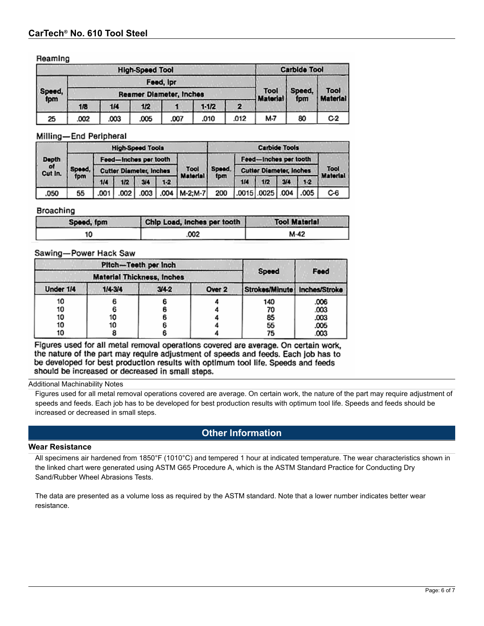### Reaming

| <b>High-Speed Tool</b>                          |      |      |      |      |           |      |          | <b>Carbide Tool</b> |                         |
|-------------------------------------------------|------|------|------|------|-----------|------|----------|---------------------|-------------------------|
| Feed, Ipr                                       |      |      |      |      |           |      | Tool     |                     |                         |
| Speed,<br><b>Reamer Diameter, Inches</b><br>fpm |      |      |      |      |           |      |          | Speed,<br>fpm       | Tool<br><b>Material</b> |
|                                                 | 1/8  | 1/4  | 1/2  |      | $1 - 1/2$ | 2    | Material |                     |                         |
| 25                                              | .002 | .003 | .005 | .007 | .010      | .012 | M-7      | 80                  | C <sub>2</sub>          |

### Milling-End Peripheral

|               | <b>High-Speed Tools</b> |      |                                |      |       |                  | <b>Carbide Tools</b> |     |                                |      |       |                 |
|---------------|-------------------------|------|--------------------------------|------|-------|------------------|----------------------|-----|--------------------------------|------|-------|-----------------|
| Depth         |                         |      | Feed-Inches per tooth          |      |       |                  |                      |     | Feed-inches per tooth          |      |       |                 |
| of<br>Cut In. | Speed,                  |      | <b>Cutter Diameter, Inches</b> |      |       | Tool<br>Material | Speed.<br>tpm        |     | <b>Cutter Diameter, Inches</b> |      |       |                 |
|               | fpm                     | 1/4  | 1/2                            | 3/4  | $1-2$ |                  |                      | 1/4 | 1/2                            | 3/4  | $1-2$ | <b>Material</b> |
| .050          | 55                      | .001 | .002                           | .003 |       | .004   M-2:M-7   | 200                  |     | $.0015$ $.0025$ $\vert$        | .004 | .005  | C-6             |

### Broaching

| Soeed, fpm | Chip Load, inches per tooth | <b>Tool Material</b> |
|------------|-----------------------------|----------------------|
|            | .002                        | M-42                 |

### Sawing-Power Hack Saw

|                                   | Pitch-Teeth per inch |           |        |                |               |
|-----------------------------------|----------------------|-----------|--------|----------------|---------------|
| <b>Material Thickness, Inches</b> |                      |           |        | Speed          | Feed          |
| Under 1/4                         | 1/4.3/4              | $3/4 - 2$ | Over 2 | Strokes/Minute | Inches/Stroke |
| 10                                |                      |           |        | 140            | .006          |
| 10                                |                      |           |        | 70             | .003          |
| 10                                | 10                   |           |        | 85             | .003          |
| 10                                | 10                   |           |        | 55             | .005          |
| 10                                |                      |           |        | 75             | .003          |

Figures used for all metal removal operations covered are average. On certain work, the nature of the part may require adjustment of speeds and feeds. Each job has to be developed for best production results with optimum tool life. Speeds and feeds should be increased or decreased in small steps.

### Additional Machinability Notes

Figures used for all metal removal operations covered are average. On certain work, the nature of the part may require adjustment of speeds and feeds. Each job has to be developed for best production results with optimum tool life. Speeds and feeds should be increased or decreased in small steps.

# **Other Information**

#### **Wear Resistance**

All specimens air hardened from 1850°F (1010°C) and tempered 1 hour at indicated temperature. The wear characteristics shown in the linked chart were generated using ASTM G65 Procedure A, which is the ASTM Standard Practice for Conducting Dry Sand/Rubber Wheel Abrasions Tests.

The data are presented as a volume loss as required by the ASTM standard. Note that a lower number indicates better wear resistance.